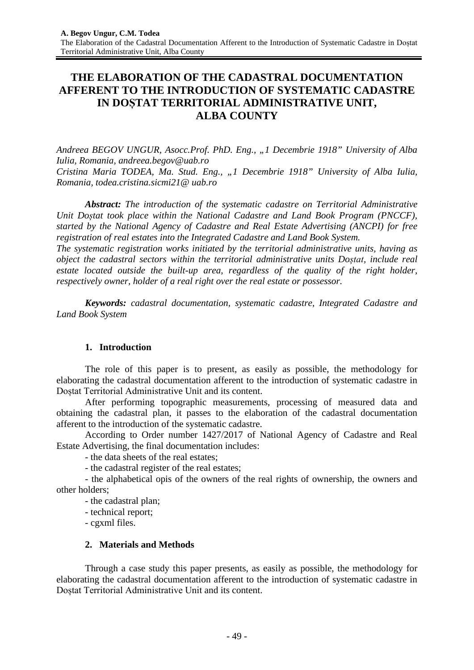# **THE ELABORATION OF THE CADASTRAL DOCUMENTATION AFFERENT TO THE INTRODUCTION OF SYSTEMATIC CADASTRE IN DOȘTAT TERRITORIAL ADMINISTRATIVE UNIT, ALBA COUNTY**

*Andreea BEGOV UNGUR, Asocc.Prof. PhD. Eng., "1 Decembrie 1918" University of Alba Iulia, Romania, andreea.begov@uab.ro Cristina Maria TODEA, Ma. Stud. Eng., "1 Decembrie 1918" University of Alba Iulia, Romania, todea.cristina.sicmi21@ uab.ro*

*Abstract: The introduction of the systematic cadastre on Territorial Administrative Unit Doștat took place within the National Cadastre and Land Book Program (PNCCF), started by the National Agency of Cadastre and Real Estate Advertising (ANCPI) for free registration of real estates into the Integrated Cadastre and Land Book System.* 

*The systematic registration works initiated by the territorial administrative units, having as object the cadastral sectors within the territorial administrative units Doștat, include real estate located outside the built-up area, regardless of the quality of the right holder, respectively owner, holder of a real right over the real estate or possessor.*

*Keywords: cadastral documentation, systematic cadastre, Integrated Cadastre and Land Book System*

# **1. Introduction**

The role of this paper is to present, as easily as possible, the methodology for elaborating the cadastral documentation afferent to the introduction of systematic cadastre in Doștat Territorial Administrative Unit and its content.

After performing topographic measurements, processing of measured data and obtaining the cadastral plan, it passes to the elaboration of the cadastral documentation afferent to the introduction of the systematic cadastre.

According to Order number 1427/2017 of National Agency of Cadastre and Real Estate Advertising, the final documentation includes:

- the data sheets of the real estates;

- the cadastral register of the real estates;

- the alphabetical opis of the owners of the real rights of ownership, the owners and other holders;

- the cadastral plan;

- technical report;

- cgxml files.

# **2. Materials and Methods**

Through a case study this paper presents, as easily as possible, the methodology for elaborating the cadastral documentation afferent to the introduction of systematic cadastre in Doștat Territorial Administrative Unit and its content.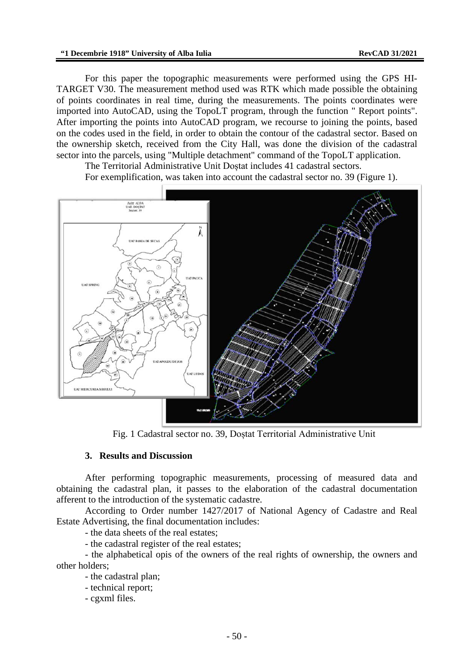For this paper the topographic measurements were performed using the GPS HI-TARGET V30. The measurement method used was RTK which made possible the obtaining of points coordinates in real time, during the measurements. The points coordinates were imported into AutoCAD, using the TopoLT program, through the function " Report points". After importing the points into AutoCAD program, we recourse to joining the points, based on the codes used in the field, in order to obtain the contour of the cadastral sector. Based on the ownership sketch, received from the City Hall, was done the division of the cadastral sector into the parcels, using "Multiple detachment" command of the TopoLT application.

The Territorial Administrative Unit Doștat includes 41 cadastral sectors.

For exemplification, was taken into account the cadastral sector no. 39 (Figure 1).



Fig. 1 Cadastral sector no. 39, Doștat Territorial Administrative Unit

# **3. Results and Discussion**

After performing topographic measurements, processing of measured data and obtaining the cadastral plan, it passes to the elaboration of the cadastral documentation afferent to the introduction of the systematic cadastre.

According to Order number 1427/2017 of National Agency of Cadastre and Real Estate Advertising, the final documentation includes:

- the data sheets of the real estates;

- the cadastral register of the real estates;

- the alphabetical opis of the owners of the real rights of ownership, the owners and other holders;

- the cadastral plan;

- technical report;

- cgxml files.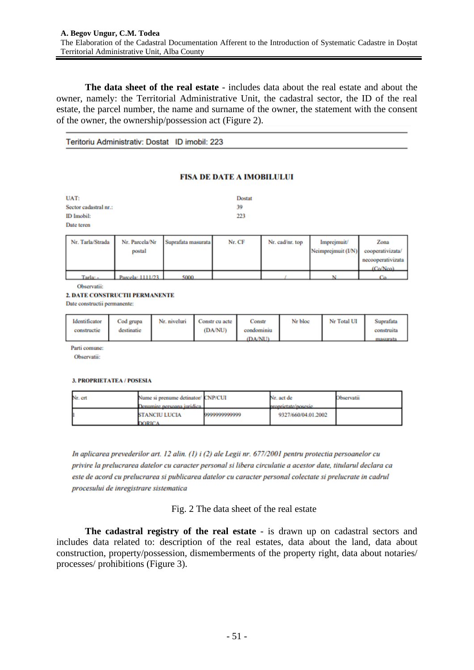**The data sheet of the real estate** - includes data about the real estate and about the owner, namely: the Territorial Administrative Unit, the cadastral sector, the ID of the real estate, the parcel number, the name and surname of the owner, the statement with the consent of the owner, the ownership/possession act (Figure 2).

Teritoriu Administrativ: Dostat ID imobil: 223

### **FISA DE DATE A IMOBILULUI**

| UAT:                  | <b>Dostat</b> |  |  |
|-----------------------|---------------|--|--|
| Sector cadastral nr.: | 39            |  |  |
| ID Imobil:            | 223           |  |  |
| Date teren            |               |  |  |
|                       |               |  |  |

| Nr. Tarla/Strada | Nr. Parcela/Nr<br>postal | Suprafata masurata | Nr. CF | Nr. cad/nr. top | <i>Impreymuit</i><br>Neimprejmuit (I/N) cooperativizata/ | Zona              |
|------------------|--------------------------|--------------------|--------|-----------------|----------------------------------------------------------|-------------------|
|                  |                          |                    |        |                 |                                                          | necooperativizata |
|                  |                          |                    |        |                 |                                                          | $(C_0/N_{CO})$    |
| Tarla: -         | Parcela: $1111/23$       | 5000               |        |                 |                                                          |                   |

Observatii:

#### 2. DATE CONSTRUCTII PERMANENTE

Date constructii permanente:

| Identificator | Cod grupa  | Nr. niveluri | Constr cu acte | Constr     | Nr bloc | Nr Total UI | Suprafata  |
|---------------|------------|--------------|----------------|------------|---------|-------------|------------|
| constructie   | destinatie |              | (DA/NU)        | condominiu |         |             | construita |
|               |            |              |                | (DA/NI)    |         |             | masurata   |

Parti comune:

Observatii:

### **3. PROPRIETATEA / POSESIA**

| Nr. crt | Nume si prenume detinator/ CNP/CUI<br>Denumire nersoana iuridica |               | Nr. act de<br>proprietate/posesie | <b>Observatii</b> |
|---------|------------------------------------------------------------------|---------------|-----------------------------------|-------------------|
|         | <b>STANCIU LUCIA</b><br><b>DORICA</b>                            | 0000000000000 | 9327/660/04.01.2002               |                   |

In aplicarea prevederilor art. 12 alin. (1) i (2) ale Legii nr. 677/2001 pentru protectia persoanelor cu privire la prelucrarea datelor cu caracter personal si libera circulatie a acestor date, titularul declara ca este de acord cu prelucrarea si publicarea datelor cu caracter personal colectate si prelucrate in cadrul procesului de inregistrare sistematica

Fig. 2 The data sheet of the real estate

**The cadastral registry of the real estate** - is drawn up on cadastral sectors and includes data related to: description of the real estates, data about the land, data about construction, property/possession, dismemberments of the property right, data about notaries/ processes/ prohibitions (Figure 3).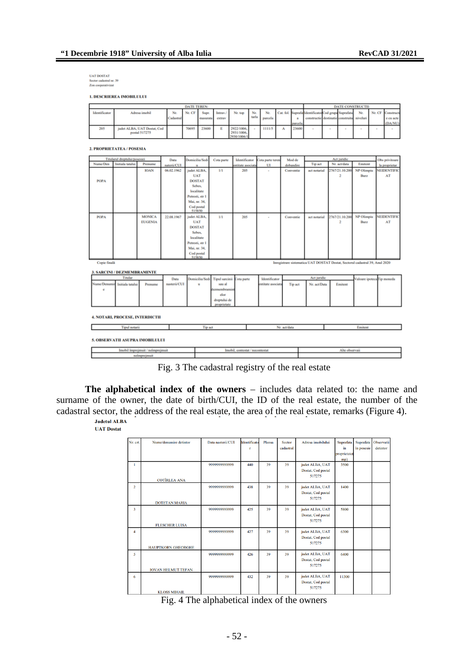UAT DOSTAT<br>Sector cadastral nr. 39<br>Zon cooperativizat

**1. DESCRIEREA IMOBILULUI** 

| <b>DATE TEREN:</b> |                                              |          |        |                 |  |                          |       |         |  |          |                                                     | <b>DATE CONSTRUCTII:</b> |     |                   |           |
|--------------------|----------------------------------------------|----------|--------|-----------------|--|--------------------------|-------|---------|--|----------|-----------------------------------------------------|--------------------------|-----|-------------------|-----------|
| Identificator      | Adresa imobil                                | Nr       | Nr. CF | Supr.           |  | Intrav./ Nr. top Nr.     |       | Nr.     |  |          | Cat. fol. Suprafa Identificator Cod grupa Suprafata |                          | Nr. | Nr. CF Constructi |           |
|                    |                                              | adastral |        | masurata extrav |  |                          | tarla | parcela |  |          | constructic destinatic construita niveluri          |                          |     |                   | e cu acte |
|                    |                                              |          |        |                 |  |                          |       |         |  | parcela. |                                                     |                          |     |                   | (DA/NU)   |
| 205                | judet ALBA, UAT Dostat, Cod<br>postal 517275 |          | 70695  | 23600           |  | 2922/1006.<br>2931/1006. |       | 1111/5  |  | 23600    |                                                     |                          |     |                   |           |

2. PROPRIETATEA / POSESIA

|              | Titularul dreptului/posesiei |                |              |                 |                           |                  |                   |           |              |                                                                              |                            |                    |
|--------------|------------------------------|----------------|--------------|-----------------|---------------------------|------------------|-------------------|-----------|--------------|------------------------------------------------------------------------------|----------------------------|--------------------|
| Nume/Den     | Initiala tatalui             | Prenume        | Data         | Domiciliu/Sedi  | Cota parte                | Identificator    | Cota parte teren  | Mod de    | Tip act      | Act juridic<br>Nr. act/data                                                  | Emitent                    | Obs privitoare     |
|              |                              |                | naterii/CUI  | u               |                           | entitate asociat | UI                | dobandire |              |                                                                              |                            | la proprietar      |
|              |                              | <b>IOAN</b>    | 06.02.1962   | judet ALBA.     | 1/1                       | 205              | ٠                 | Conventie | act notarial | 2767/21.10.200                                                               | NP Olimpiu                 | <b>NEIDENTIFIC</b> |
|              |                              |                |              | <b>UAT</b>      |                           |                  |                   |           |              | $\overline{2}$                                                               | Burz                       | AT                 |
| <b>POPA</b>  |                              |                |              | <b>DOSTAT</b>   |                           |                  |                   |           |              |                                                                              |                            |                    |
|              |                              |                |              | Sebes.          |                           |                  |                   |           |              |                                                                              |                            |                    |
|              |                              |                |              | localitate      |                           |                  |                   |           |              |                                                                              |                            |                    |
|              |                              |                |              | Petresti, str 1 |                           |                  |                   |           |              |                                                                              |                            |                    |
|              |                              |                |              | Mai, nr. 34.    |                           |                  |                   |           |              |                                                                              |                            |                    |
|              |                              |                |              | Cod postal      |                           |                  |                   |           |              |                                                                              |                            |                    |
|              |                              |                |              | 515850          |                           |                  |                   |           |              |                                                                              |                            |                    |
| <b>POPA</b>  |                              | <b>MONICA</b>  | 22.08.1967   | judet ALBA.     | 1/1                       | 205              | ٠                 | Conventie | act notarial | 2767/21.10.200                                                               | NP Olimpiu                 | <b>NEIDENTIFIC</b> |
|              |                              | <b>EUGENIA</b> |              | <b>UAT</b>      |                           |                  |                   |           |              | 2                                                                            | Burz                       | AT                 |
|              |                              |                |              | <b>DOSTAT</b>   |                           |                  |                   |           |              |                                                                              |                            |                    |
|              |                              |                |              | Sebes.          |                           |                  |                   |           |              |                                                                              |                            |                    |
|              |                              |                |              | localitate      |                           |                  |                   |           |              |                                                                              |                            |                    |
|              |                              |                |              | Petresti, str 1 |                           |                  |                   |           |              |                                                                              |                            |                    |
|              |                              |                |              | Mai, nr. 34.    |                           |                  |                   |           |              |                                                                              |                            |                    |
|              |                              |                |              | Cod postal      |                           |                  |                   |           |              |                                                                              |                            |                    |
|              |                              |                |              | \$15850         |                           |                  |                   |           |              |                                                                              |                            |                    |
| Copie finală |                              |                |              |                 |                           |                  |                   |           |              | Inregistrare sistematica UAT DOSTAT Dostat, Sectorul cadastral 39, Anul 2020 |                            |                    |
|              |                              |                |              |                 |                           |                  |                   |           |              |                                                                              |                            |                    |
|              | 3. SARCINI / DEZMEMBRAMINTE  |                |              |                 |                           |                  |                   |           |              |                                                                              |                            |                    |
|              | Titular                      |                | Data         | Domiciliu/Sedi  | Tipul sarcinii Cota parte |                  | Identificator     |           | Act juridic  |                                                                              | Valoare ipoteca Tip moneda |                    |
| Nume/Denumir | Initiala tatalui             | Prenume        | nasterii/CUI | $\mathbf{u}$    | sau al                    |                  | entitate asociata | Tip act   | Nr. act/Data | Emitent                                                                      |                            |                    |
| ø            |                              |                |              |                 | dezmembramint             |                  |                   |           |              |                                                                              |                            |                    |
|              |                              |                |              |                 | clor                      |                  |                   |           |              |                                                                              |                            |                    |
|              |                              |                |              |                 | dreptului de              |                  |                   |           |              |                                                                              |                            |                    |
|              |                              |                |              |                 | proprietate               |                  |                   |           |              |                                                                              |                            |                    |
|              |                              |                |              |                 |                           |                  |                   |           |              |                                                                              |                            |                    |

4. NOTARI, PROCESE, INTERDICTII

| Tipul notarii                    | <b>Tip act</b> | Nr. act/data                    | Emiten        |
|----------------------------------|----------------|---------------------------------|---------------|
| 5. OBSERVATII ASUPRA IMOBILULUI  |                |                                 |               |
| Imobil impreimuit / neimpreimuit |                | Imobil, contestat / necontestat | Alte observai |

Fig. 3 The cadastral registry of the real estate

**The alphabetical index of the owners** – includes data related to: the name and surname of the owner, the date of birth/CUI, the ID of the real estate, the number of the cadastral sector, the address of the real estate, the area of the real estate, remarks (Figure 4).

**UAT Dostat** 

| Nr. crt.       | Nume/denumire detintor    | Data nasterii/CUL | Identificato | Plansa | <b>Sector</b> | Adresa imobilului            | Suprafata    | Suprafata  | Observatii |
|----------------|---------------------------|-------------------|--------------|--------|---------------|------------------------------|--------------|------------|------------|
|                |                           |                   | r.           |        | cadastral     |                              | în           | în posesie | detintor   |
|                |                           |                   |              |        |               |                              | proprietate( |            |            |
|                |                           |                   |              |        |               |                              | mp)          |            |            |
| 1              |                           | 9999999999999     | 440          | 39     | 39            | judet ALBA, UAT              | 3500         |            |            |
|                |                           |                   |              |        |               | Dostat, Cod postal           |              |            |            |
|                | <b>COTÎRLEA ANA</b>       |                   |              |        |               | 517275                       |              |            |            |
| $\overline{2}$ |                           |                   | 438          | 39     | 39            |                              | 1400         |            |            |
|                |                           | 9999999999999     |              |        |               | judet ALBA, UAT              |              |            |            |
|                |                           |                   |              |        |               | Dostat, Cod postal<br>517275 |              |            |            |
|                | <b>DOTETAN MARIA</b>      |                   |              |        |               |                              |              |            |            |
| 3              |                           | 9999999999999     | 425          | 39     | 39            | judet ALBA, UAT              | 5800         |            |            |
|                |                           |                   |              |        |               | Dostat, Cod postal           |              |            |            |
|                |                           |                   |              |        |               | 517275                       |              |            |            |
|                | <b>FLESCHER LUISA</b>     |                   |              |        |               |                              |              |            |            |
| 4              |                           | 9999999999999     | 427          | 39     | 39            | judet ALBA, UAT              | 6300         |            |            |
|                |                           |                   |              |        |               | Dostat, Cod postal           |              |            |            |
|                |                           |                   |              |        |               | 517275                       |              |            |            |
|                | <b>HAUPTKORN GHEORGHE</b> |                   |              |        |               |                              |              |            |            |
| 5              |                           | 9999999999999     | 426          | 39     | 39            | judet ALBA, UAT              | 6400         |            |            |
|                |                           |                   |              |        |               | Dostat, Cod postal           |              |            |            |
|                | <b>IOVAN HELMUT TEFAN</b> |                   |              |        |               | 517275                       |              |            |            |
|                |                           |                   |              |        |               |                              |              |            |            |
| 6              |                           | 9999999999999     | 432          | 39     | 39            | judet ALBA, UAT              | 11300        |            |            |
|                |                           |                   |              |        |               | Dostat, Cod postal           |              |            |            |
|                | KLOSS MIHAIL              |                   |              |        |               | 517275                       |              |            |            |
|                |                           |                   |              |        |               |                              |              |            |            |

Fig. 4 The alphabetical index of the owners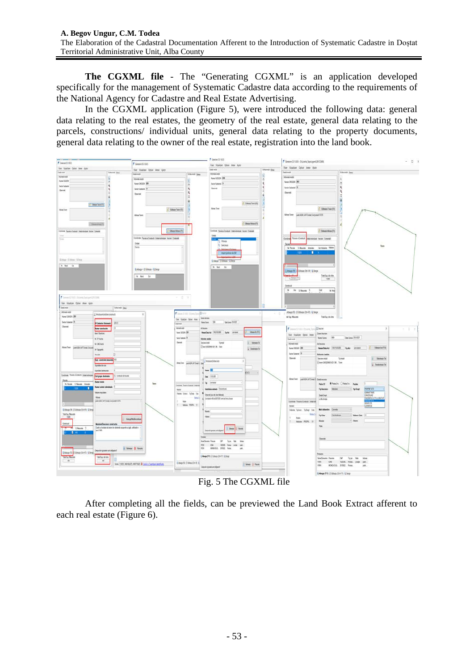**The CGXML file** - The "Generating CGXML" is an application developed specifically for the management of Systematic Cadastre data according to the requirements of the National Agency for Cadastre and Real Estate Advertising.

In the CGXML application (Figure 5), were introduced the following data: general data relating to the real estates, the geometry of the real estate, general data relating to the parcels, constructions/ individual units, general data relating to the property documents, general data relating to the owner of the real estate, registration into the land book.



Fig. 5 The CGXML file

After completing all the fields, can be previewed the Land Book Extract afferent to each real estate (Figure 6).